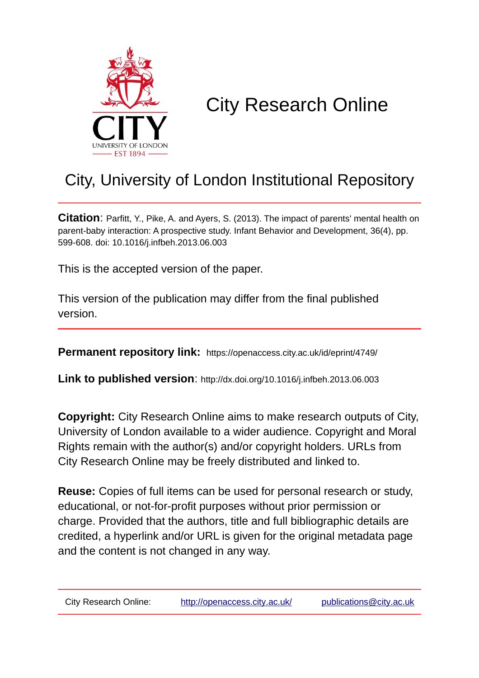

# City Research Online

# City, University of London Institutional Repository

**Citation**: Parfitt, Y., Pike, A. and Ayers, S. (2013). The impact of parents' mental health on parent-baby interaction: A prospective study. Infant Behavior and Development, 36(4), pp. 599-608. doi: 10.1016/j.infbeh.2013.06.003

This is the accepted version of the paper.

This version of the publication may differ from the final published version.

**Permanent repository link:** https://openaccess.city.ac.uk/id/eprint/4749/

**Link to published version**: http://dx.doi.org/10.1016/j.infbeh.2013.06.003

**Copyright:** City Research Online aims to make research outputs of City, University of London available to a wider audience. Copyright and Moral Rights remain with the author(s) and/or copyright holders. URLs from City Research Online may be freely distributed and linked to.

**Reuse:** Copies of full items can be used for personal research or study, educational, or not-for-profit purposes without prior permission or charge. Provided that the authors, title and full bibliographic details are credited, a hyperlink and/or URL is given for the original metadata page and the content is not changed in any way.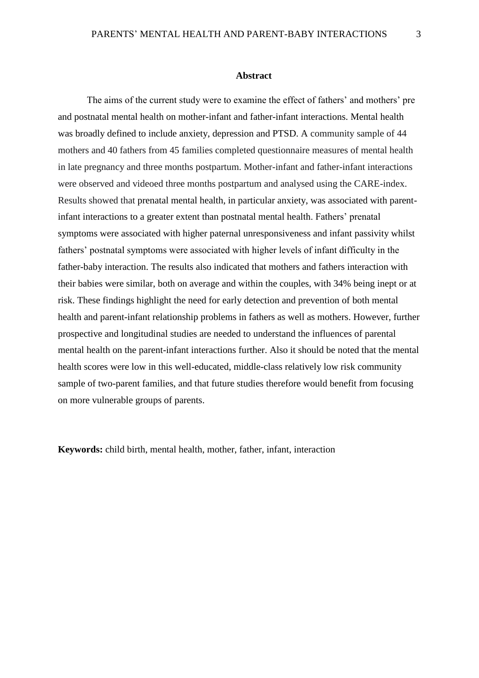#### **Abstract**

The aims of the current study were to examine the effect of fathers' and mothers' pre and postnatal mental health on mother-infant and father-infant interactions. Mental health was broadly defined to include anxiety, depression and PTSD. A community sample of 44 mothers and 40 fathers from 45 families completed questionnaire measures of mental health in late pregnancy and three months postpartum. Mother-infant and father-infant interactions were observed and videoed three months postpartum and analysed using the CARE-index. Results showed that prenatal mental health, in particular anxiety, was associated with parentinfant interactions to a greater extent than postnatal mental health. Fathers' prenatal symptoms were associated with higher paternal unresponsiveness and infant passivity whilst fathers' postnatal symptoms were associated with higher levels of infant difficulty in the father-baby interaction. The results also indicated that mothers and fathers interaction with their babies were similar, both on average and within the couples, with 34% being inept or at risk. These findings highlight the need for early detection and prevention of both mental health and parent-infant relationship problems in fathers as well as mothers. However, further prospective and longitudinal studies are needed to understand the influences of parental mental health on the parent-infant interactions further. Also it should be noted that the mental health scores were low in this well-educated, middle-class relatively low risk community sample of two-parent families, and that future studies therefore would benefit from focusing on more vulnerable groups of parents.

**Keywords:** child birth, mental health, mother, father, infant, interaction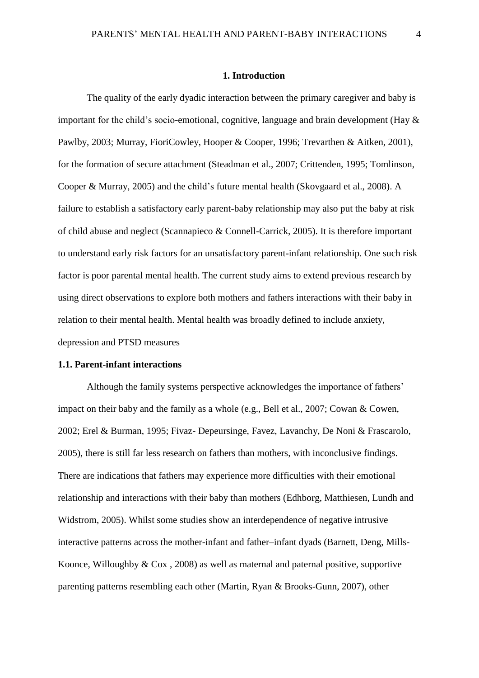#### **1. Introduction**

The quality of the early dyadic interaction between the primary caregiver and baby is important for the child's socio-emotional, cognitive, language and brain development (Hay & Pawlby, 2003; Murray, FioriCowley, Hooper & Cooper, 1996; Trevarthen & Aitken, 2001), for the formation of secure attachment (Steadman et al., 2007; Crittenden, 1995; Tomlinson, Cooper & Murray, 2005) and the child's future mental health (Skovgaard et al., 2008). A failure to establish a satisfactory early parent-baby relationship may also put the baby at risk of child abuse and neglect (Scannapieco & Connell-Carrick, 2005). It is therefore important to understand early risk factors for an unsatisfactory parent-infant relationship. One such risk factor is poor parental mental health. The current study aims to extend previous research by using direct observations to explore both mothers and fathers interactions with their baby in relation to their mental health. Mental health was broadly defined to include anxiety, depression and PTSD measures

#### **1.1. Parent-infant interactions**

Although the family systems perspective acknowledges the importance of fathers' impact on their baby and the family as a whole (e.g., Bell et al., 2007; Cowan & Cowen, 2002; Erel & Burman, 1995; Fivaz- Depeursinge, Favez, Lavanchy, De Noni & Frascarolo, 2005), there is still far less research on fathers than mothers, with inconclusive findings. There are indications that fathers may experience more difficulties with their emotional relationship and interactions with their baby than mothers (Edhborg, Matthiesen, Lundh and Widstrom, 2005). Whilst some studies show an interdependence of negative intrusive interactive patterns across the mother-infant and father–infant dyads (Barnett, Deng, Mills-Koonce, Willoughby & Cox , 2008) as well as maternal and paternal positive, supportive parenting patterns resembling each other (Martin, Ryan & Brooks-Gunn, 2007), other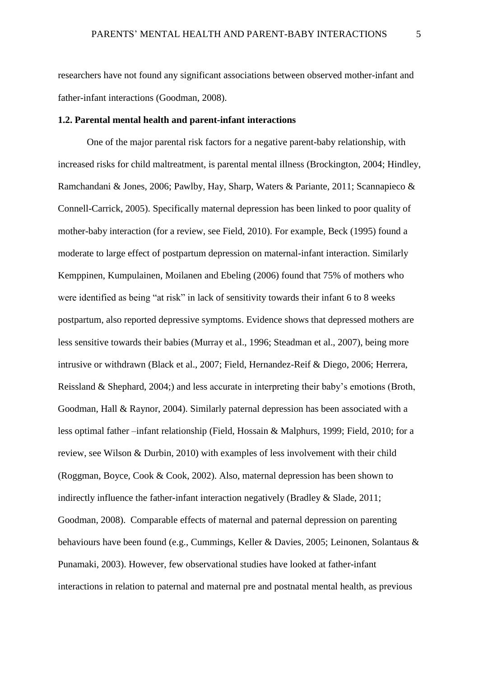researchers have not found any significant associations between observed mother-infant and father-infant interactions (Goodman, 2008).

# **1.2. Parental mental health and parent-infant interactions**

One of the major parental risk factors for a negative parent-baby relationship, with increased risks for child maltreatment, is parental mental illness (Brockington, 2004; Hindley, Ramchandani & Jones, 2006; Pawlby, Hay, Sharp, Waters & Pariante, 2011; Scannapieco & Connell-Carrick, 2005). Specifically maternal depression has been linked to poor quality of mother-baby interaction (for a review, see Field, 2010). For example, Beck (1995) found a moderate to large effect of postpartum depression on maternal-infant interaction. Similarly Kemppinen, Kumpulainen, Moilanen and Ebeling (2006) found that 75% of mothers who were identified as being "at risk" in lack of sensitivity towards their infant 6 to 8 weeks postpartum, also reported depressive symptoms. Evidence shows that depressed mothers are less sensitive towards their babies (Murray et al., 1996; Steadman et al., 2007), being more intrusive or withdrawn (Black et al., 2007; Field, Hernandez-Reif & Diego, 2006; Herrera, Reissland & Shephard, 2004;) and less accurate in interpreting their baby's emotions (Broth, Goodman, Hall & Raynor, 2004). Similarly paternal depression has been associated with a less optimal father –infant relationship (Field, Hossain & Malphurs, 1999; Field, 2010; for a review, see Wilson & Durbin, 2010) with examples of less involvement with their child (Roggman, Boyce, Cook & Cook, 2002). Also, maternal depression has been shown to indirectly influence the father-infant interaction negatively (Bradley  $\&$  Slade, 2011; Goodman, 2008). Comparable effects of maternal and paternal depression on parenting behaviours have been found (e.g., Cummings, Keller & Davies, 2005; Leinonen, Solantaus & Punamaki, 2003). However, few observational studies have looked at father-infant interactions in relation to paternal and maternal pre and postnatal mental health, as previous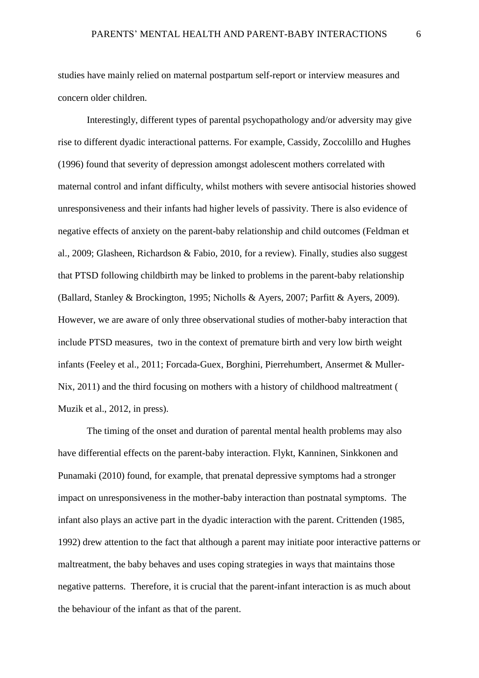studies have mainly relied on maternal postpartum self-report or interview measures and concern older children.

Interestingly, different types of parental psychopathology and/or adversity may give rise to different dyadic interactional patterns. For example, Cassidy, Zoccolillo and Hughes (1996) found that severity of depression amongst adolescent mothers correlated with maternal control and infant difficulty, whilst mothers with severe antisocial histories showed unresponsiveness and their infants had higher levels of passivity. There is also evidence of negative effects of anxiety on the parent-baby relationship and child outcomes (Feldman et al., 2009; Glasheen, Richardson & Fabio, 2010, for a review). Finally, studies also suggest that PTSD following childbirth may be linked to problems in the parent-baby relationship (Ballard, Stanley & Brockington, 1995; Nicholls & Ayers, 2007; Parfitt & Ayers, 2009). However, we are aware of only three observational studies of mother-baby interaction that include PTSD measures, two in the context of premature birth and very low birth weight infants (Feeley et al., 2011; Forcada-Guex, Borghini, Pierrehumbert, Ansermet & Muller-Nix, 2011) and the third focusing on mothers with a history of childhood maltreatment ( Muzik et al., 2012, in press).

The timing of the onset and duration of parental mental health problems may also have differential effects on the parent-baby interaction. Flykt, Kanninen, Sinkkonen and Punamaki (2010) found, for example, that prenatal depressive symptoms had a stronger impact on unresponsiveness in the mother-baby interaction than postnatal symptoms. The infant also plays an active part in the dyadic interaction with the parent. Crittenden (1985, 1992) drew attention to the fact that although a parent may initiate poor interactive patterns or maltreatment, the baby behaves and uses coping strategies in ways that maintains those negative patterns. Therefore, it is crucial that the parent-infant interaction is as much about the behaviour of the infant as that of the parent.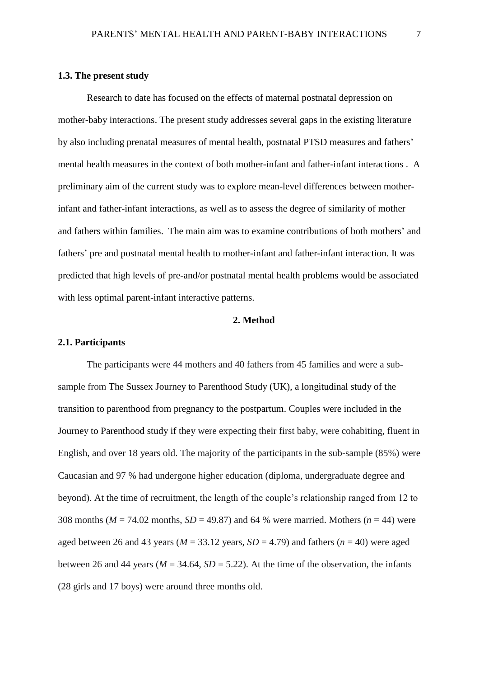# **1.3. The present study**

Research to date has focused on the effects of maternal postnatal depression on mother-baby interactions. The present study addresses several gaps in the existing literature by also including prenatal measures of mental health, postnatal PTSD measures and fathers' mental health measures in the context of both mother-infant and father-infant interactions . A preliminary aim of the current study was to explore mean-level differences between motherinfant and father-infant interactions, as well as to assess the degree of similarity of mother and fathers within families. The main aim was to examine contributions of both mothers' and fathers' pre and postnatal mental health to mother-infant and father-infant interaction. It was predicted that high levels of pre-and/or postnatal mental health problems would be associated with less optimal parent-infant interactive patterns.

#### **2. Method**

#### **2.1. Participants**

The participants were 44 mothers and 40 fathers from 45 families and were a subsample from The Sussex Journey to Parenthood Study (UK), a longitudinal study of the transition to parenthood from pregnancy to the postpartum. Couples were included in the Journey to Parenthood study if they were expecting their first baby, were cohabiting, fluent in English, and over 18 years old. The majority of the participants in the sub-sample (85%) were Caucasian and 97 % had undergone higher education (diploma, undergraduate degree and beyond). At the time of recruitment, the length of the couple's relationship ranged from 12 to 308 months (*M* = 74.02 months, *SD* = 49.87) and 64 % were married. Mothers (*n* = 44) were aged between 26 and 43 years ( $M = 33.12$  years,  $SD = 4.79$ ) and fathers ( $n = 40$ ) were aged between 26 and 44 years ( $M = 34.64$ ,  $SD = 5.22$ ). At the time of the observation, the infants (28 girls and 17 boys) were around three months old.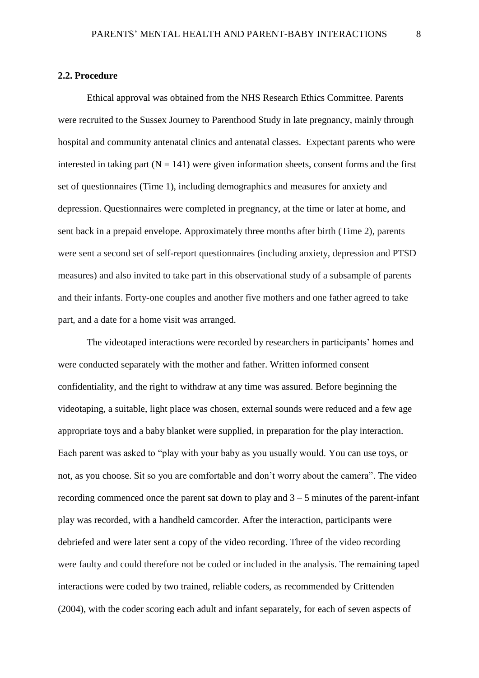#### **2.2. Procedure**

Ethical approval was obtained from the NHS Research Ethics Committee. Parents were recruited to the Sussex Journey to Parenthood Study in late pregnancy, mainly through hospital and community antenatal clinics and antenatal classes. Expectant parents who were interested in taking part  $(N = 141)$  were given information sheets, consent forms and the first set of questionnaires (Time 1), including demographics and measures for anxiety and depression. Questionnaires were completed in pregnancy, at the time or later at home, and sent back in a prepaid envelope. Approximately three months after birth (Time 2), parents were sent a second set of self-report questionnaires (including anxiety, depression and PTSD measures) and also invited to take part in this observational study of a subsample of parents and their infants. Forty-one couples and another five mothers and one father agreed to take part, and a date for a home visit was arranged.

The videotaped interactions were recorded by researchers in participants' homes and were conducted separately with the mother and father. Written informed consent confidentiality, and the right to withdraw at any time was assured. Before beginning the videotaping, a suitable, light place was chosen, external sounds were reduced and a few age appropriate toys and a baby blanket were supplied, in preparation for the play interaction. Each parent was asked to "play with your baby as you usually would. You can use toys, or not, as you choose. Sit so you are comfortable and don't worry about the camera". The video recording commenced once the parent sat down to play and  $3 - 5$  minutes of the parent-infant play was recorded, with a handheld camcorder. After the interaction, participants were debriefed and were later sent a copy of the video recording. Three of the video recording were faulty and could therefore not be coded or included in the analysis. The remaining taped interactions were coded by two trained, reliable coders, as recommended by Crittenden (2004), with the coder scoring each adult and infant separately, for each of seven aspects of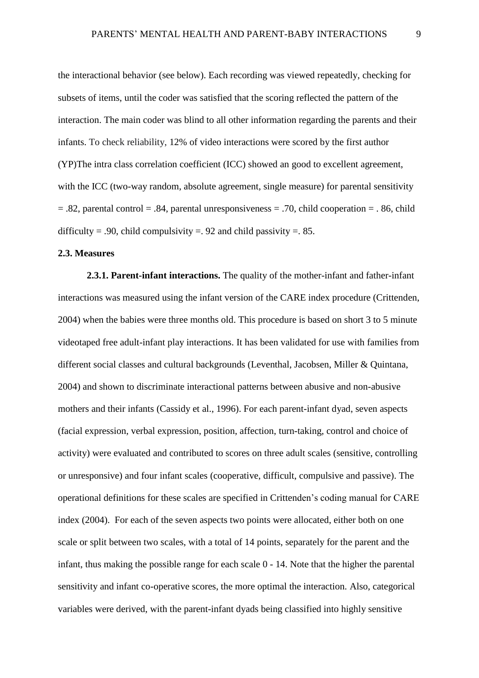the interactional behavior (see below). Each recording was viewed repeatedly, checking for subsets of items, until the coder was satisfied that the scoring reflected the pattern of the interaction. The main coder was blind to all other information regarding the parents and their infants. To check reliability, 12% of video interactions were scored by the first author (YP)The intra class correlation coefficient (ICC) showed an good to excellent agreement, with the ICC (two-way random, absolute agreement, single measure) for parental sensitivity  $= 0.82$ , parental control  $= 0.84$ , parental unresponsiveness  $= 0.70$ , child cooperation  $= 0.86$ , child difficulty = .90, child compulsivity = .92 and child passivity = .85.

# **2.3. Measures**

**2.3.1. Parent-infant interactions.** The quality of the mother-infant and father-infant interactions was measured using the infant version of the CARE index procedure (Crittenden, 2004) when the babies were three months old. This procedure is based on short 3 to 5 minute videotaped free adult-infant play interactions. It has been validated for use with families from different social classes and cultural backgrounds (Leventhal, Jacobsen, Miller & Quintana, 2004) and shown to discriminate interactional patterns between abusive and non-abusive mothers and their infants (Cassidy et al., 1996). For each parent-infant dyad, seven aspects (facial expression, verbal expression, position, affection, turn-taking, control and choice of activity) were evaluated and contributed to scores on three adult scales (sensitive, controlling or unresponsive) and four infant scales (cooperative, difficult, compulsive and passive). The operational definitions for these scales are specified in Crittenden's coding manual for CARE index (2004). For each of the seven aspects two points were allocated, either both on one scale or split between two scales, with a total of 14 points, separately for the parent and the infant, thus making the possible range for each scale 0 - 14. Note that the higher the parental sensitivity and infant co-operative scores, the more optimal the interaction. Also, categorical variables were derived, with the parent-infant dyads being classified into highly sensitive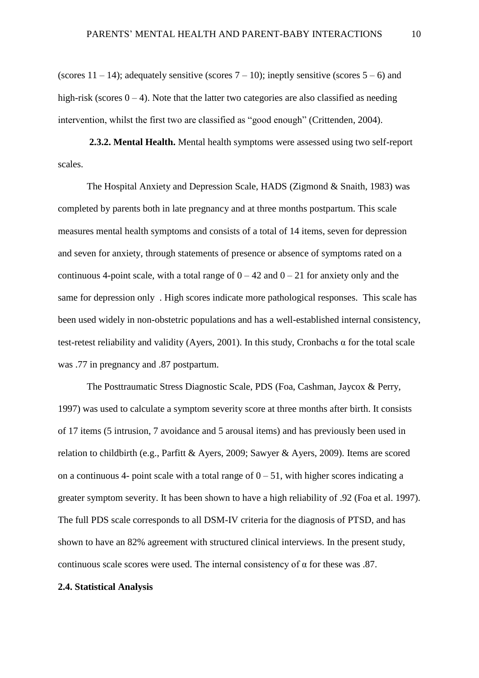(scores  $11 - 14$ ); adequately sensitive (scores  $7 - 10$ ); ineptly sensitive (scores  $5 - 6$ ) and high-risk (scores  $0 - 4$ ). Note that the latter two categories are also classified as needing intervention, whilst the first two are classified as "good enough" (Crittenden, 2004).

**2.3.2. Mental Health.** Mental health symptoms were assessed using two self-report scales.

The Hospital Anxiety and Depression Scale, HADS (Zigmond & Snaith, 1983) was completed by parents both in late pregnancy and at three months postpartum. This scale measures mental health symptoms and consists of a total of 14 items, seven for depression and seven for anxiety, through statements of presence or absence of symptoms rated on a continuous 4-point scale, with a total range of  $0 - 42$  and  $0 - 21$  for anxiety only and the same for depression only . High scores indicate more pathological responses. This scale has been used widely in non-obstetric populations and has a well-established internal consistency, test-retest reliability and validity (Ayers, 2001). In this study, Cronbachs α for the total scale was .77 in pregnancy and .87 postpartum.

The Posttraumatic Stress Diagnostic Scale, PDS (Foa, Cashman, Jaycox & Perry, 1997) was used to calculate a symptom severity score at three months after birth. It consists of 17 items (5 intrusion, 7 avoidance and 5 arousal items) and has previously been used in relation to childbirth (e.g., Parfitt & Ayers, 2009; Sawyer & Ayers, 2009). Items are scored on a continuous 4- point scale with a total range of  $0 - 51$ , with higher scores indicating a greater symptom severity. It has been shown to have a high reliability of .92 (Foa et al. 1997). The full PDS scale corresponds to all DSM-IV criteria for the diagnosis of PTSD, and has shown to have an 82% agreement with structured clinical interviews. In the present study, continuous scale scores were used. The internal consistency of  $\alpha$  for these was .87.

# **2.4. Statistical Analysis**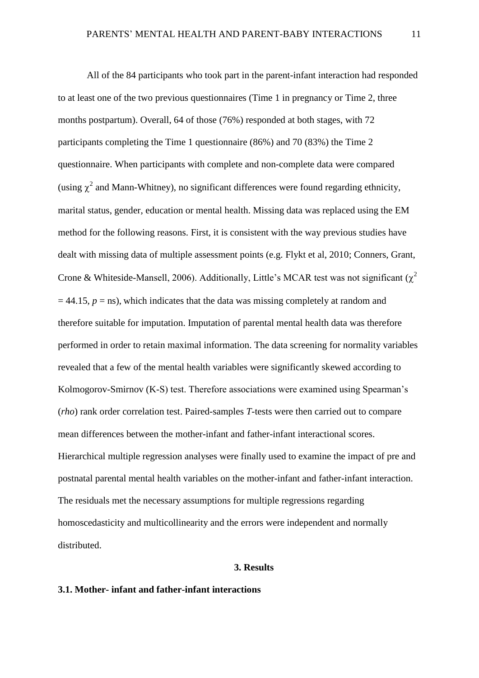All of the 84 participants who took part in the parent-infant interaction had responded to at least one of the two previous questionnaires (Time 1 in pregnancy or Time 2, three months postpartum). Overall, 64 of those (76%) responded at both stages, with 72 participants completing the Time 1 questionnaire (86%) and 70 (83%) the Time 2 questionnaire. When participants with complete and non-complete data were compared (using  $\chi^2$  and Mann-Whitney), no significant differences were found regarding ethnicity, marital status, gender, education or mental health. Missing data was replaced using the EM method for the following reasons. First, it is consistent with the way previous studies have dealt with missing data of multiple assessment points (e.g. Flykt et al, 2010; Conners, Grant, Crone & Whiteside-Mansell, 2006). Additionally, Little's MCAR test was not significant ( $\chi^2$  $= 44.15$ ,  $p =$ ns), which indicates that the data was missing completely at random and therefore suitable for imputation. Imputation of parental mental health data was therefore performed in order to retain maximal information. The data screening for normality variables revealed that a few of the mental health variables were significantly skewed according to Kolmogorov-Smirnov (K-S) test. Therefore associations were examined using Spearman's (*rho*) rank order correlation test. Paired-samples *T*-tests were then carried out to compare mean differences between the mother-infant and father-infant interactional scores. Hierarchical multiple regression analyses were finally used to examine the impact of pre and postnatal parental mental health variables on the mother-infant and father-infant interaction. The residuals met the necessary assumptions for multiple regressions regarding homoscedasticity and multicollinearity and the errors were independent and normally distributed.

#### **3. Results**

# **3.1. Mother- infant and father-infant interactions**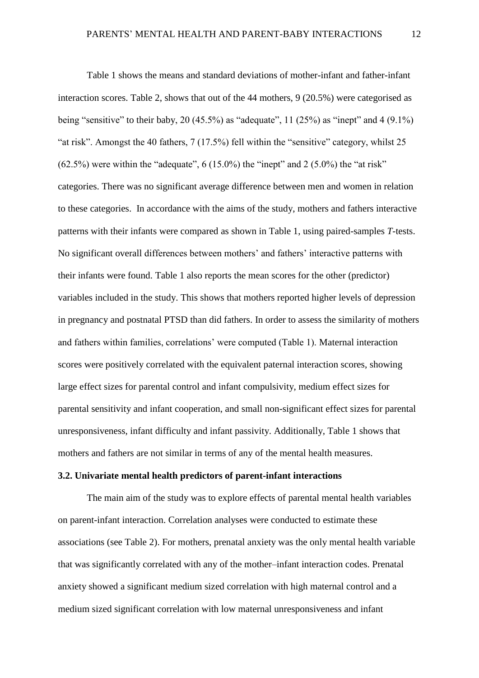Table 1 shows the means and standard deviations of mother-infant and father-infant interaction scores. Table 2, shows that out of the 44 mothers, 9 (20.5%) were categorised as being "sensitive" to their baby, 20 (45.5%) as "adequate", 11 (25%) as "inept" and 4 (9.1%) "at risk". Amongst the 40 fathers, 7 (17.5%) fell within the "sensitive" category, whilst 25  $(62.5\%)$  were within the "adequate", 6 (15.0%) the "inept" and 2 (5.0%) the "at risk" categories. There was no significant average difference between men and women in relation to these categories. In accordance with the aims of the study, mothers and fathers interactive patterns with their infants were compared as shown in Table 1, using paired-samples *T-*tests. No significant overall differences between mothers' and fathers' interactive patterns with their infants were found. Table 1 also reports the mean scores for the other (predictor) variables included in the study. This shows that mothers reported higher levels of depression in pregnancy and postnatal PTSD than did fathers. In order to assess the similarity of mothers and fathers within families, correlations' were computed (Table 1). Maternal interaction scores were positively correlated with the equivalent paternal interaction scores, showing large effect sizes for parental control and infant compulsivity, medium effect sizes for parental sensitivity and infant cooperation, and small non-significant effect sizes for parental unresponsiveness, infant difficulty and infant passivity. Additionally, Table 1 shows that mothers and fathers are not similar in terms of any of the mental health measures.

# **3.2. Univariate mental health predictors of parent-infant interactions**

The main aim of the study was to explore effects of parental mental health variables on parent-infant interaction. Correlation analyses were conducted to estimate these associations (see Table 2). For mothers, prenatal anxiety was the only mental health variable that was significantly correlated with any of the mother–infant interaction codes. Prenatal anxiety showed a significant medium sized correlation with high maternal control and a medium sized significant correlation with low maternal unresponsiveness and infant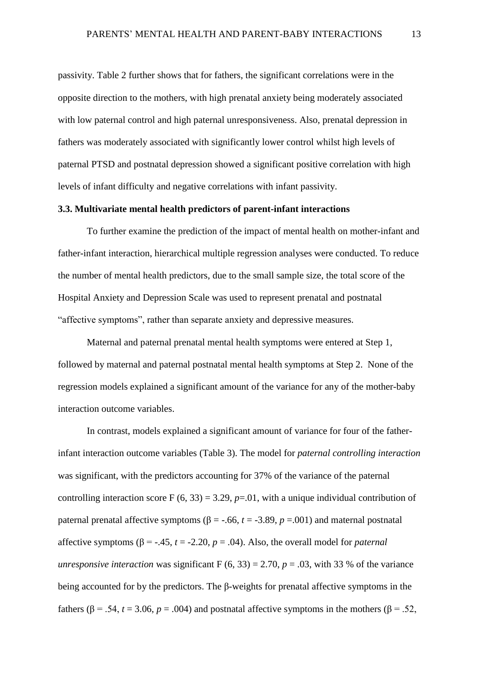passivity. Table 2 further shows that for fathers, the significant correlations were in the opposite direction to the mothers, with high prenatal anxiety being moderately associated with low paternal control and high paternal unresponsiveness. Also, prenatal depression in fathers was moderately associated with significantly lower control whilst high levels of paternal PTSD and postnatal depression showed a significant positive correlation with high levels of infant difficulty and negative correlations with infant passivity.

# **3.3. Multivariate mental health predictors of parent-infant interactions**

To further examine the prediction of the impact of mental health on mother-infant and father-infant interaction, hierarchical multiple regression analyses were conducted. To reduce the number of mental health predictors, due to the small sample size, the total score of the Hospital Anxiety and Depression Scale was used to represent prenatal and postnatal "affective symptoms", rather than separate anxiety and depressive measures.

Maternal and paternal prenatal mental health symptoms were entered at Step 1, followed by maternal and paternal postnatal mental health symptoms at Step 2. None of the regression models explained a significant amount of the variance for any of the mother-baby interaction outcome variables.

In contrast, models explained a significant amount of variance for four of the fatherinfant interaction outcome variables (Table 3). The model for *paternal controlling interaction*  was significant, with the predictors accounting for 37% of the variance of the paternal controlling interaction score F  $(6, 33) = 3.29$ ,  $p = .01$ , with a unique individual contribution of paternal prenatal affective symptoms ( $\beta$  = -.66, *t* = -3.89, *p* = .001) and maternal postnatal affective symptoms  $(β = -.45, t = -2.20, p = .04)$ . Also, the overall model for *paternal unresponsive interaction* was significant  $F(6, 33) = 2.70$ ,  $p = .03$ , with 33 % of the variance being accounted for by the predictors. The β-weights for prenatal affective symptoms in the fathers ( $\beta$  = .54, *t* = 3.06, *p* = .004) and postnatal affective symptoms in the mothers ( $\beta$  = .52,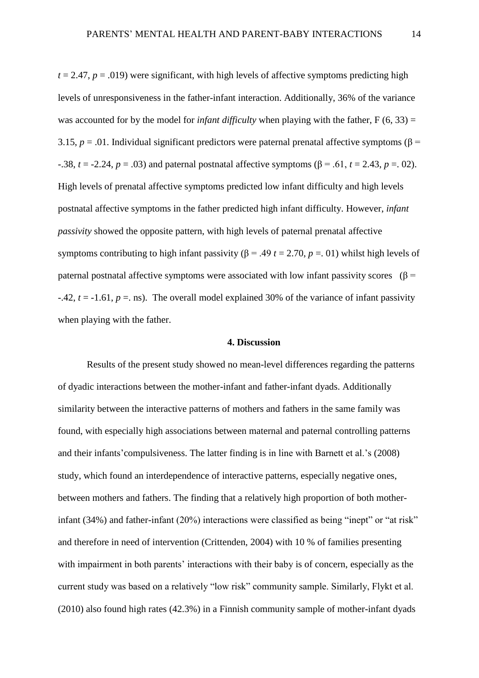$t = 2.47$ ,  $p = .019$ ) were significant, with high levels of affective symptoms predicting high levels of unresponsiveness in the father-infant interaction. Additionally, 36% of the variance was accounted for by the model for *infant difficulty* when playing with the father,  $F(6, 33) =$ 3.15,  $p = .01$ . Individual significant predictors were paternal prenatal affective symptoms ( $\beta$  = -.38, *t* = -2.24, *p* = .03) and paternal postnatal affective symptoms (β = .61, *t* = 2.43, *p* = .02). High levels of prenatal affective symptoms predicted low infant difficulty and high levels postnatal affective symptoms in the father predicted high infant difficulty. However, *infant passivity* showed the opposite pattern, with high levels of paternal prenatal affective symptoms contributing to high infant passivity ( $\beta$  = .49  $t$  = 2.70,  $p$  = .01) whilst high levels of paternal postnatal affective symptoms were associated with low infant passivity scores (β =  $-42$ ,  $t = -1.61$ ,  $p =$ . ns). The overall model explained 30% of the variance of infant passivity when playing with the father.

# **4. Discussion**

Results of the present study showed no mean-level differences regarding the patterns of dyadic interactions between the mother-infant and father-infant dyads. Additionally similarity between the interactive patterns of mothers and fathers in the same family was found, with especially high associations between maternal and paternal controlling patterns and their infants'compulsiveness. The latter finding is in line with Barnett et al.'s (2008) study, which found an interdependence of interactive patterns, especially negative ones, between mothers and fathers. The finding that a relatively high proportion of both motherinfant (34%) and father-infant (20%) interactions were classified as being "inept" or "at risk" and therefore in need of intervention (Crittenden, 2004) with 10 % of families presenting with impairment in both parents' interactions with their baby is of concern, especially as the current study was based on a relatively "low risk" community sample. Similarly, Flykt et al. (2010) also found high rates (42.3%) in a Finnish community sample of mother-infant dyads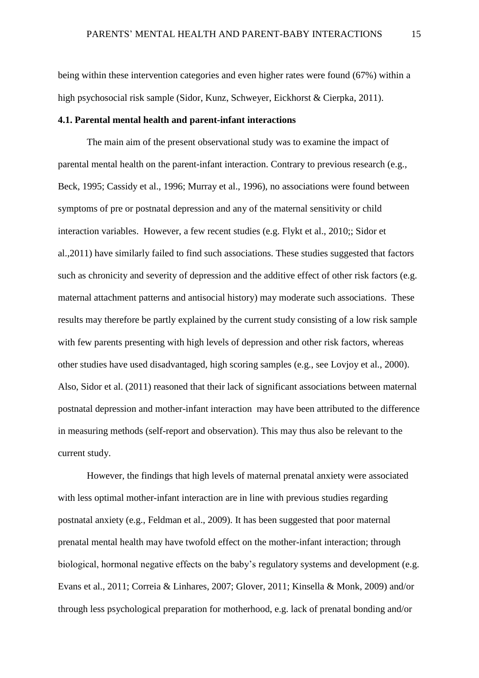being within these intervention categories and even higher rates were found (67%) within a high psychosocial risk sample (Sidor, Kunz, Schweyer, Eickhorst & Cierpka, 2011).

# **4.1. Parental mental health and parent-infant interactions**

The main aim of the present observational study was to examine the impact of parental mental health on the parent-infant interaction. Contrary to previous research (e.g., Beck, 1995; Cassidy et al., 1996; Murray et al., 1996), no associations were found between symptoms of pre or postnatal depression and any of the maternal sensitivity or child interaction variables. However, a few recent studies (e.g. Flykt et al., 2010;; Sidor et al.,2011) have similarly failed to find such associations. These studies suggested that factors such as chronicity and severity of depression and the additive effect of other risk factors (e.g. maternal attachment patterns and antisocial history) may moderate such associations. These results may therefore be partly explained by the current study consisting of a low risk sample with few parents presenting with high levels of depression and other risk factors, whereas other studies have used disadvantaged, high scoring samples (e.g., see Lovjoy et al., 2000). Also, Sidor et al. (2011) reasoned that their lack of significant associations between maternal postnatal depression and mother-infant interaction may have been attributed to the difference in measuring methods (self-report and observation). This may thus also be relevant to the current study.

However, the findings that high levels of maternal prenatal anxiety were associated with less optimal mother-infant interaction are in line with previous studies regarding postnatal anxiety (e.g., Feldman et al., 2009). It has been suggested that poor maternal prenatal mental health may have twofold effect on the mother-infant interaction; through biological, hormonal negative effects on the baby's regulatory systems and development (e.g. Evans et al., 2011; Correia & Linhares, 2007; Glover, 2011; Kinsella & Monk, 2009) and/or through less psychological preparation for motherhood, e.g. lack of prenatal bonding and/or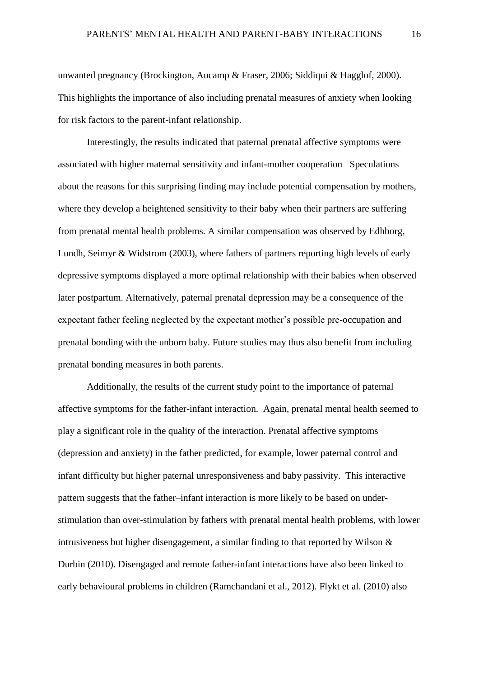unwanted pregnancy (Brockington, Aucamp & Fraser, 2006; Siddiqui & Hagglof, 2000). This highlights the importance of also including prenatal measures of anxiety when looking for risk factors to the parent-infant relationship.

Interestingly, the results indicated that paternal prenatal affective symptoms were associated with higher maternal sensitivity and infant-mother cooperation Speculations about the reasons for this surprising finding may include potential compensation by mothers, where they develop a heightened sensitivity to their baby when their partners are suffering from prenatal mental health problems. A similar compensation was observed by Edhborg, Lundh, Seimyr & Widstrom (2003), where fathers of partners reporting high levels of early depressive symptoms displayed a more optimal relationship with their babies when observed later postpartum. Alternatively, paternal prenatal depression may be a consequence of the expectant father feeling neglected by the expectant mother's possible pre-occupation and prenatal bonding with the unborn baby. Future studies may thus also benefit from including prenatal bonding measures in both parents.

Additionally, the results of the current study point to the importance of paternal affective symptoms for the father-infant interaction. Again, prenatal mental health seemed to play a significant role in the quality of the interaction. Prenatal affective symptoms (depression and anxiety) in the father predicted, for example, lower paternal control and infant difficulty but higher paternal unresponsiveness and baby passivity. This interactive pattern suggests that the father–infant interaction is more likely to be based on understimulation than over-stimulation by fathers with prenatal mental health problems, with lower intrusiveness but higher disengagement, a similar finding to that reported by Wilson & Durbin (2010). Disengaged and remote father-infant interactions have also been linked to early behavioural problems in children (Ramchandani et al., 2012). Flykt et al. (2010) also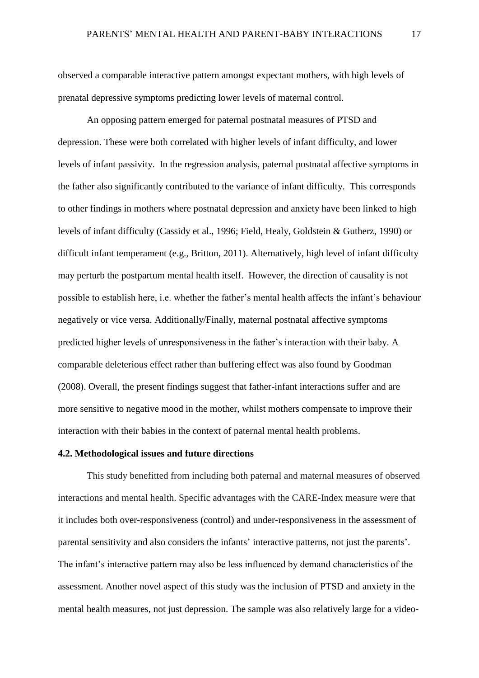observed a comparable interactive pattern amongst expectant mothers, with high levels of prenatal depressive symptoms predicting lower levels of maternal control.

An opposing pattern emerged for paternal postnatal measures of PTSD and depression. These were both correlated with higher levels of infant difficulty, and lower levels of infant passivity. In the regression analysis, paternal postnatal affective symptoms in the father also significantly contributed to the variance of infant difficulty. This corresponds to other findings in mothers where postnatal depression and anxiety have been linked to high levels of infant difficulty (Cassidy et al., 1996; Field, Healy, Goldstein & Gutherz, 1990) or difficult infant temperament (e.g., Britton, 2011). Alternatively, high level of infant difficulty may perturb the postpartum mental health itself. However, the direction of causality is not possible to establish here, i.e. whether the father's mental health affects the infant's behaviour negatively or vice versa. Additionally/Finally, maternal postnatal affective symptoms predicted higher levels of unresponsiveness in the father's interaction with their baby. A comparable deleterious effect rather than buffering effect was also found by Goodman (2008). Overall, the present findings suggest that father-infant interactions suffer and are more sensitive to negative mood in the mother, whilst mothers compensate to improve their interaction with their babies in the context of paternal mental health problems.

# **4.2. Methodological issues and future directions**

This study benefitted from including both paternal and maternal measures of observed interactions and mental health. Specific advantages with the CARE-Index measure were that it includes both over-responsiveness (control) and under-responsiveness in the assessment of parental sensitivity and also considers the infants' interactive patterns, not just the parents'. The infant's interactive pattern may also be less influenced by demand characteristics of the assessment. Another novel aspect of this study was the inclusion of PTSD and anxiety in the mental health measures, not just depression. The sample was also relatively large for a video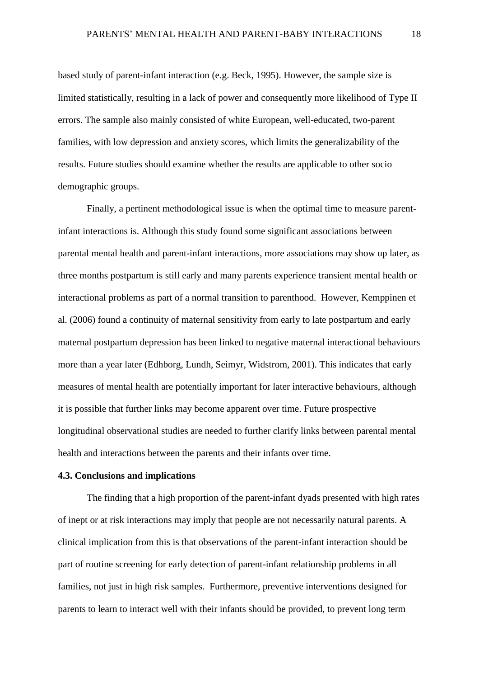based study of parent-infant interaction (e.g. Beck, 1995). However, the sample size is limited statistically, resulting in a lack of power and consequently more likelihood of Type II errors. The sample also mainly consisted of white European, well-educated, two-parent families, with low depression and anxiety scores, which limits the generalizability of the results. Future studies should examine whether the results are applicable to other socio demographic groups.

Finally, a pertinent methodological issue is when the optimal time to measure parentinfant interactions is. Although this study found some significant associations between parental mental health and parent-infant interactions, more associations may show up later, as three months postpartum is still early and many parents experience transient mental health or interactional problems as part of a normal transition to parenthood. However, Kemppinen et al. (2006) found a continuity of maternal sensitivity from early to late postpartum and early maternal postpartum depression has been linked to negative maternal interactional behaviours more than a year later (Edhborg, Lundh, Seimyr, Widstrom, 2001). This indicates that early measures of mental health are potentially important for later interactive behaviours, although it is possible that further links may become apparent over time. Future prospective longitudinal observational studies are needed to further clarify links between parental mental health and interactions between the parents and their infants over time.

# **4.3. Conclusions and implications**

The finding that a high proportion of the parent-infant dyads presented with high rates of inept or at risk interactions may imply that people are not necessarily natural parents. A clinical implication from this is that observations of the parent-infant interaction should be part of routine screening for early detection of parent-infant relationship problems in all families, not just in high risk samples. Furthermore, preventive interventions designed for parents to learn to interact well with their infants should be provided, to prevent long term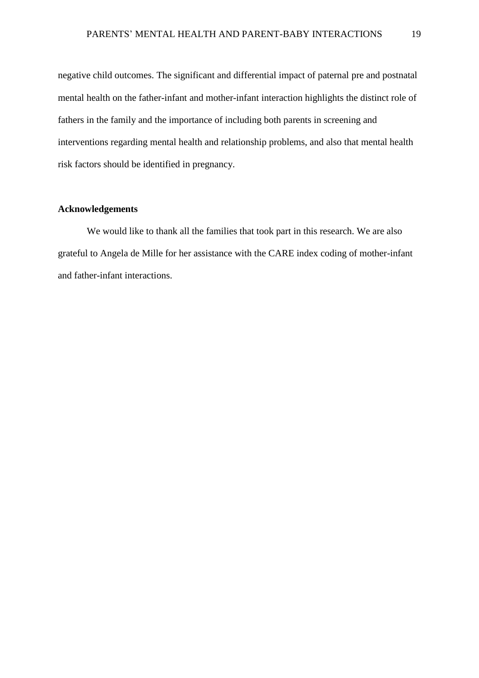negative child outcomes. The significant and differential impact of paternal pre and postnatal mental health on the father-infant and mother-infant interaction highlights the distinct role of fathers in the family and the importance of including both parents in screening and interventions regarding mental health and relationship problems, and also that mental health risk factors should be identified in pregnancy.

# **Acknowledgements**

We would like to thank all the families that took part in this research. We are also grateful to Angela de Mille for her assistance with the CARE index coding of mother-infant and father-infant interactions.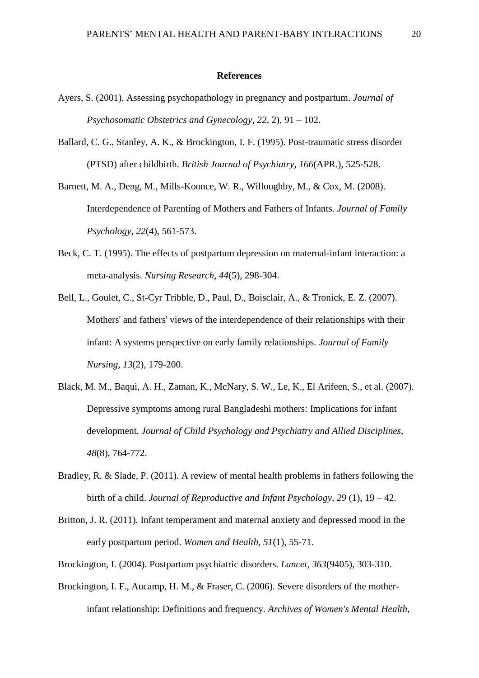#### **References**

- Ayers, S. (2001). Assessing psychopathology in pregnancy and postpartum. *Journal of Psychosomatic Obstetrics and Gynecology, 22,* 2), 91 – 102.
- Ballard, C. G., Stanley, A. K., & Brockington, I. F. (1995). Post-traumatic stress disorder (PTSD) after childbirth. *British Journal of Psychiatry, 166*(APR.), 525-528.
- Barnett, M. A., Deng, M., Mills-Koonce, W. R., Willoughby, M., & Cox, M. (2008). Interdependence of Parenting of Mothers and Fathers of Infants. *Journal of Family Psychology, 22*(4), 561-573.
- Beck, C. T. (1995). The effects of postpartum depression on maternal-infant interaction: a meta-analysis. *Nursing Research, 44*(5), 298-304.
- Bell, L., Goulet, C., St-Cyr Tribble, D., Paul, D., Boisclair, A., & Tronick, E. Z. (2007). Mothers' and fathers' views of the interdependence of their relationships with their infant: A systems perspective on early family relationships. *Journal of Family Nursing, 13*(2), 179-200.
- Black, M. M., Baqui, A. H., Zaman, K., McNary, S. W., Le, K., El Arifeen, S., et al. (2007). Depressive symptoms among rural Bangladeshi mothers: Implications for infant development. *Journal of Child Psychology and Psychiatry and Allied Disciplines, 48*(8), 764-772.
- Bradley, R. & Slade, P. (2011). A review of mental health problems in fathers following the birth of a child. *Journal of Reproductive and Infant Psychology, 29* (1), 19 – 42.
- Britton, J. R. (2011). Infant temperament and maternal anxiety and depressed mood in the early postpartum period. *Women and Health, 51*(1), 55-71.
- Brockington, I. (2004). Postpartum psychiatric disorders. *Lancet, 363*(9405), 303-310.
- Brockington, I. F., Aucamp, H. M., & Fraser, C. (2006). Severe disorders of the motherinfant relationship: Definitions and frequency. *Archives of Women's Mental Health,*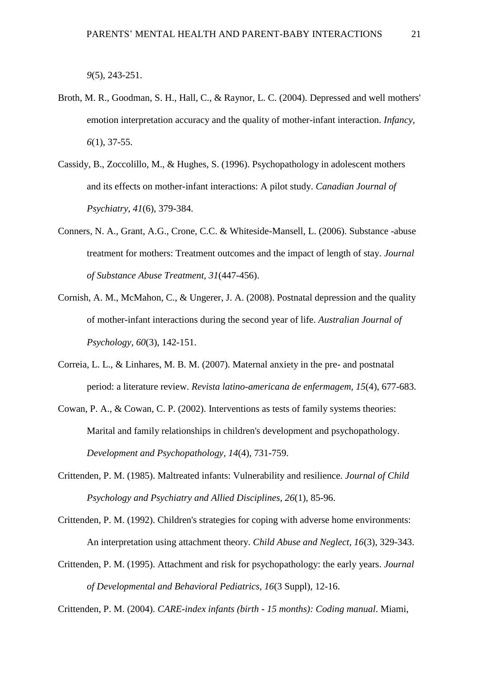*9*(5), 243-251.

- Broth, M. R., Goodman, S. H., Hall, C., & Raynor, L. C. (2004). Depressed and well mothers' emotion interpretation accuracy and the quality of mother-infant interaction. *Infancy, 6*(1), 37-55.
- Cassidy, B., Zoccolillo, M., & Hughes, S. (1996). Psychopathology in adolescent mothers and its effects on mother-infant interactions: A pilot study. *Canadian Journal of Psychiatry, 41*(6), 379-384.
- Conners, N. A., Grant, A.G., Crone, C.C. & Whiteside-Mansell, L. (2006). Substance -abuse treatment for mothers: Treatment outcomes and the impact of length of stay. *Journal of Substance Abuse Treatment, 31*(447-456).
- Cornish, A. M., McMahon, C., & Ungerer, J. A. (2008). Postnatal depression and the quality of mother-infant interactions during the second year of life. *Australian Journal of Psychology, 60*(3), 142-151.
- Correia, L. L., & Linhares, M. B. M. (2007). Maternal anxiety in the pre- and postnatal period: a literature review. *Revista latino-americana de enfermagem, 15*(4), 677-683.
- Cowan, P. A., & Cowan, C. P. (2002). Interventions as tests of family systems theories: Marital and family relationships in children's development and psychopathology. *Development and Psychopathology, 14*(4), 731-759.
- Crittenden, P. M. (1985). Maltreated infants: Vulnerability and resilience. *Journal of Child Psychology and Psychiatry and Allied Disciplines, 26*(1), 85-96.
- Crittenden, P. M. (1992). Children's strategies for coping with adverse home environments: An interpretation using attachment theory. *Child Abuse and Neglect, 16*(3), 329-343.
- Crittenden, P. M. (1995). Attachment and risk for psychopathology: the early years. *Journal of Developmental and Behavioral Pediatrics, 16*(3 Suppl), 12-16.

Crittenden, P. M. (2004). *CARE-index infants (birth - 15 months): Coding manual*. Miami,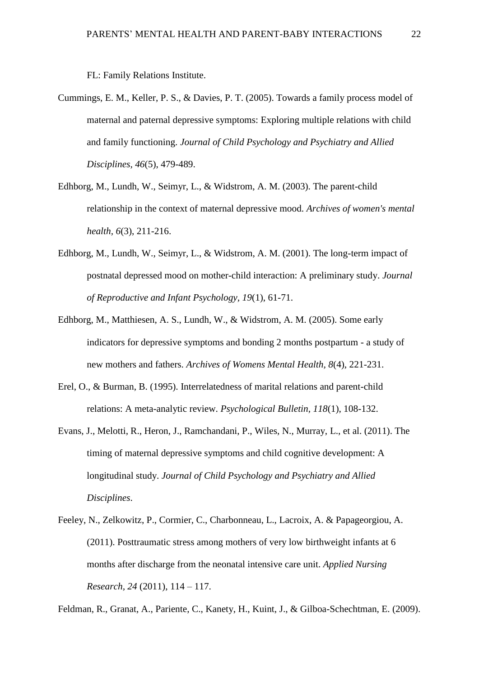FL: Family Relations Institute.

- Cummings, E. M., Keller, P. S., & Davies, P. T. (2005). Towards a family process model of maternal and paternal depressive symptoms: Exploring multiple relations with child and family functioning. *Journal of Child Psychology and Psychiatry and Allied Disciplines, 46*(5), 479-489.
- Edhborg, M., Lundh, W., Seimyr, L., & Widstrom, A. M. (2003). The parent-child relationship in the context of maternal depressive mood. *Archives of women's mental health, 6*(3), 211-216.
- Edhborg, M., Lundh, W., Seimyr, L., & Widstrom, A. M. (2001). The long-term impact of postnatal depressed mood on mother-child interaction: A preliminary study. *Journal of Reproductive and Infant Psychology, 19*(1), 61-71.
- Edhborg, M., Matthiesen, A. S., Lundh, W., & Widstrom, A. M. (2005). Some early indicators for depressive symptoms and bonding 2 months postpartum - a study of new mothers and fathers. *Archives of Womens Mental Health, 8*(4), 221-231.
- Erel, O., & Burman, B. (1995). Interrelatedness of marital relations and parent-child relations: A meta-analytic review. *Psychological Bulletin, 118*(1), 108-132.
- Evans, J., Melotti, R., Heron, J., Ramchandani, P., Wiles, N., Murray, L., et al. (2011). The timing of maternal depressive symptoms and child cognitive development: A longitudinal study. *Journal of Child Psychology and Psychiatry and Allied Disciplines*.
- Feeley, N., Zelkowitz, P., Cormier, C., Charbonneau, L., Lacroix, A. & Papageorgiou, A. (2011). Posttraumatic stress among mothers of very low birthweight infants at 6 months after discharge from the neonatal intensive care unit. *Applied Nursing Research, 24* (2011), 114 – 117.

Feldman, R., Granat, A., Pariente, C., Kanety, H., Kuint, J., & Gilboa-Schechtman, E. (2009).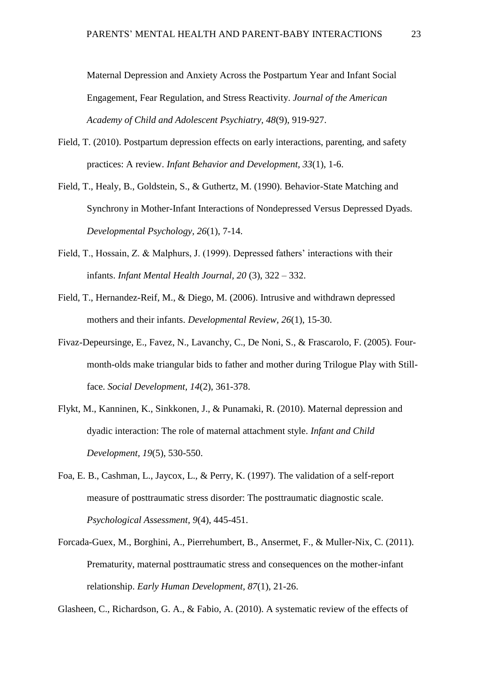Maternal Depression and Anxiety Across the Postpartum Year and Infant Social Engagement, Fear Regulation, and Stress Reactivity. *Journal of the American Academy of Child and Adolescent Psychiatry, 48*(9), 919-927.

- Field, T. (2010). Postpartum depression effects on early interactions, parenting, and safety practices: A review. *Infant Behavior and Development, 33*(1), 1-6.
- Field, T., Healy, B., Goldstein, S., & Guthertz, M. (1990). Behavior-State Matching and Synchrony in Mother-Infant Interactions of Nondepressed Versus Depressed Dyads. *Developmental Psychology, 26*(1), 7-14.
- Field, T., Hossain, Z. & Malphurs, J. (1999). Depressed fathers' interactions with their infants. *Infant Mental Health Journal, 20* (3), 322 – 332.
- Field, T., Hernandez-Reif, M., & Diego, M. (2006). Intrusive and withdrawn depressed mothers and their infants. *Developmental Review, 26*(1), 15-30.
- Fivaz-Depeursinge, E., Favez, N., Lavanchy, C., De Noni, S., & Frascarolo, F. (2005). Fourmonth-olds make triangular bids to father and mother during Trilogue Play with Stillface. *Social Development, 14*(2), 361-378.
- Flykt, M., Kanninen, K., Sinkkonen, J., & Punamaki, R. (2010). Maternal depression and dyadic interaction: The role of maternal attachment style. *Infant and Child Development, 19*(5), 530-550.
- Foa, E. B., Cashman, L., Jaycox, L., & Perry, K. (1997). The validation of a self-report measure of posttraumatic stress disorder: The posttraumatic diagnostic scale. *Psychological Assessment, 9*(4), 445-451.
- Forcada-Guex, M., Borghini, A., Pierrehumbert, B., Ansermet, F., & Muller-Nix, C. (2011). Prematurity, maternal posttraumatic stress and consequences on the mother-infant relationship. *Early Human Development, 87*(1), 21-26.

Glasheen, C., Richardson, G. A., & Fabio, A. (2010). A systematic review of the effects of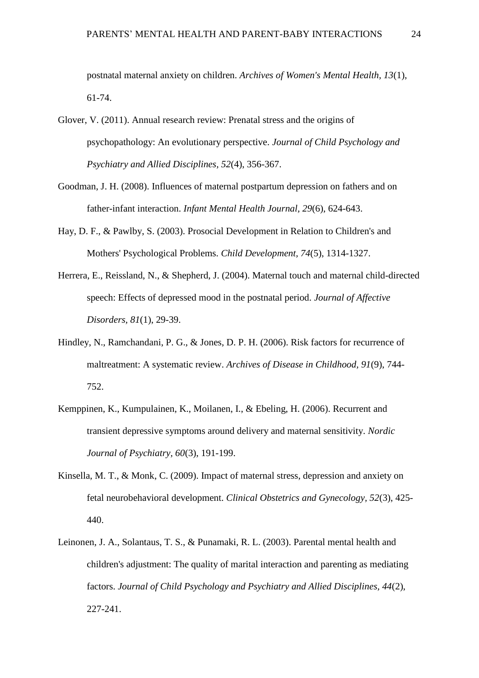postnatal maternal anxiety on children. *Archives of Women's Mental Health, 13*(1), 61-74.

- Glover, V. (2011). Annual research review: Prenatal stress and the origins of psychopathology: An evolutionary perspective. *Journal of Child Psychology and Psychiatry and Allied Disciplines, 52*(4), 356-367.
- Goodman, J. H. (2008). Influences of maternal postpartum depression on fathers and on father-infant interaction. *Infant Mental Health Journal, 29*(6), 624-643.
- Hay, D. F., & Pawlby, S. (2003). Prosocial Development in Relation to Children's and Mothers' Psychological Problems. *Child Development, 74*(5), 1314-1327.
- Herrera, E., Reissland, N., & Shepherd, J. (2004). Maternal touch and maternal child-directed speech: Effects of depressed mood in the postnatal period. *Journal of Affective Disorders, 81*(1), 29-39.
- Hindley, N., Ramchandani, P. G., & Jones, D. P. H. (2006). Risk factors for recurrence of maltreatment: A systematic review. *Archives of Disease in Childhood, 91*(9), 744- 752.
- Kemppinen, K., Kumpulainen, K., Moilanen, I., & Ebeling, H. (2006). Recurrent and transient depressive symptoms around delivery and maternal sensitivity. *Nordic Journal of Psychiatry, 60*(3), 191-199.
- Kinsella, M. T., & Monk, C. (2009). Impact of maternal stress, depression and anxiety on fetal neurobehavioral development. *Clinical Obstetrics and Gynecology, 52*(3), 425- 440.
- Leinonen, J. A., Solantaus, T. S., & Punamaki, R. L. (2003). Parental mental health and children's adjustment: The quality of marital interaction and parenting as mediating factors. *Journal of Child Psychology and Psychiatry and Allied Disciplines, 44*(2), 227-241.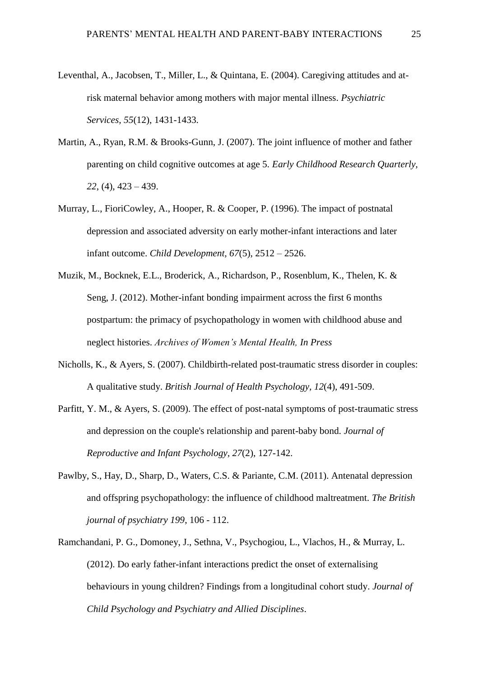- Leventhal, A., Jacobsen, T., Miller, L., & Quintana, E. (2004). Caregiving attitudes and atrisk maternal behavior among mothers with major mental illness. *Psychiatric Services, 55*(12), 1431-1433.
- Martin, A., Ryan, R.M. & Brooks-Gunn, J. (2007). The joint influence of mother and father parenting on child cognitive outcomes at age 5. *Early Childhood Research Quarterly, 22*, (4), 423 – 439.
- Murray, L., FioriCowley, A., Hooper, R. & Cooper, P. (1996). The impact of postnatal depression and associated adversity on early mother-infant interactions and later infant outcome. *Child Development, 67*(5), 2512 – 2526.
- Muzik, M., Bocknek, E.L., Broderick, A., Richardson, P., Rosenblum, K., Thelen, K. & Seng, J. (2012). Mother-infant bonding impairment across the first 6 months postpartum: the primacy of psychopathology in women with childhood abuse and neglect histories. *Archives of Women's Mental Health, In Press*
- Nicholls, K., & Ayers, S. (2007). Childbirth-related post-traumatic stress disorder in couples: A qualitative study. *British Journal of Health Psychology, 12*(4), 491-509.
- Parfitt, Y. M., & Ayers, S. (2009). The effect of post-natal symptoms of post-traumatic stress and depression on the couple's relationship and parent-baby bond. *Journal of Reproductive and Infant Psychology, 27*(2), 127-142.
- Pawlby, S., Hay, D., Sharp, D., Waters, C.S. & Pariante, C.M. (2011). Antenatal depression and offspring psychopathology: the influence of childhood maltreatment. *The British journal of psychiatry 199*, 106 - 112.
- Ramchandani, P. G., Domoney, J., Sethna, V., Psychogiou, L., Vlachos, H., & Murray, L. (2012). Do early father-infant interactions predict the onset of externalising behaviours in young children? Findings from a longitudinal cohort study. *Journal of Child Psychology and Psychiatry and Allied Disciplines*.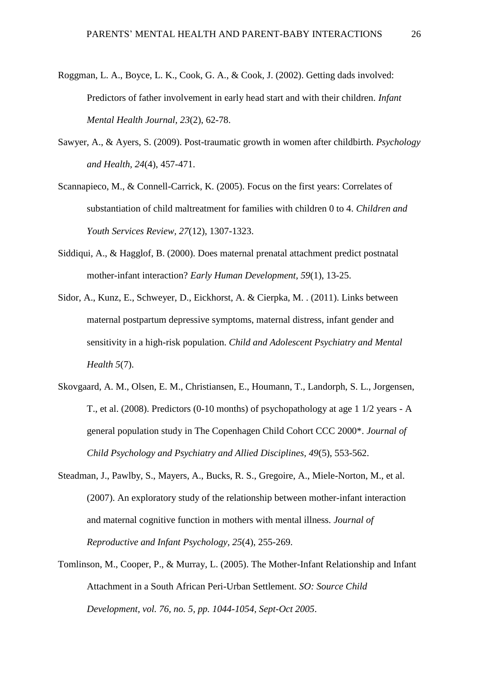- Roggman, L. A., Boyce, L. K., Cook, G. A., & Cook, J. (2002). Getting dads involved: Predictors of father involvement in early head start and with their children. *Infant Mental Health Journal, 23*(2), 62-78.
- Sawyer, A., & Ayers, S. (2009). Post-traumatic growth in women after childbirth. *Psychology and Health, 24*(4), 457-471.
- Scannapieco, M., & Connell-Carrick, K. (2005). Focus on the first years: Correlates of substantiation of child maltreatment for families with children 0 to 4. *Children and Youth Services Review, 27*(12), 1307-1323.
- Siddiqui, A., & Hagglof, B. (2000). Does maternal prenatal attachment predict postnatal mother-infant interaction? *Early Human Development, 59*(1), 13-25.
- Sidor, A., Kunz, E., Schweyer, D., Eickhorst, A. & Cierpka, M. . (2011). Links between maternal postpartum depressive symptoms, maternal distress, infant gender and sensitivity in a high-risk population. *Child and Adolescent Psychiatry and Mental Health 5*(7).
- Skovgaard, A. M., Olsen, E. M., Christiansen, E., Houmann, T., Landorph, S. L., Jorgensen, T., et al. (2008). Predictors (0-10 months) of psychopathology at age 1 1/2 years - A general population study in The Copenhagen Child Cohort CCC 2000\*. *Journal of Child Psychology and Psychiatry and Allied Disciplines, 49*(5), 553-562.
- Steadman, J., Pawlby, S., Mayers, A., Bucks, R. S., Gregoire, A., Miele-Norton, M., et al. (2007). An exploratory study of the relationship between mother-infant interaction and maternal cognitive function in mothers with mental illness. *Journal of Reproductive and Infant Psychology, 25*(4), 255-269.
- Tomlinson, M., Cooper, P., & Murray, L. (2005). The Mother-Infant Relationship and Infant Attachment in a South African Peri-Urban Settlement. *SO: Source Child Development, vol. 76, no. 5, pp. 1044-1054, Sept-Oct 2005*.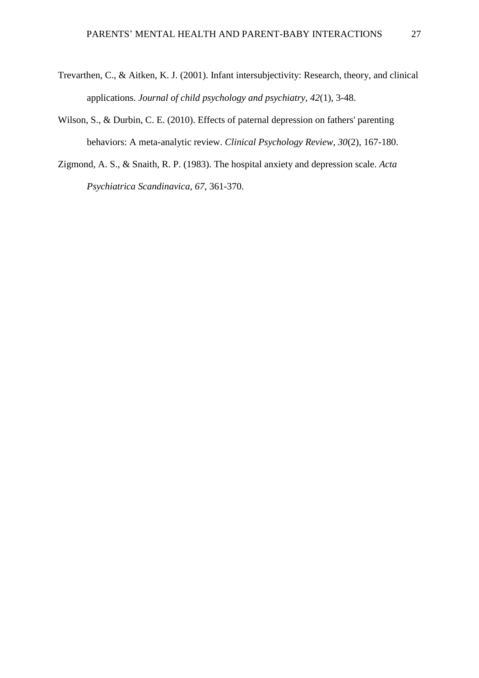- Trevarthen, C., & Aitken, K. J. (2001). Infant intersubjectivity: Research, theory, and clinical applications. *Journal of child psychology and psychiatry, 42*(1), 3-48.
- Wilson, S., & Durbin, C. E. (2010). Effects of paternal depression on fathers' parenting behaviors: A meta-analytic review. *Clinical Psychology Review, 30*(2), 167-180.
- Zigmond, A. S., & Snaith, R. P. (1983). The hospital anxiety and depression scale. *Acta Psychiatrica Scandinavica, 67*, 361-370.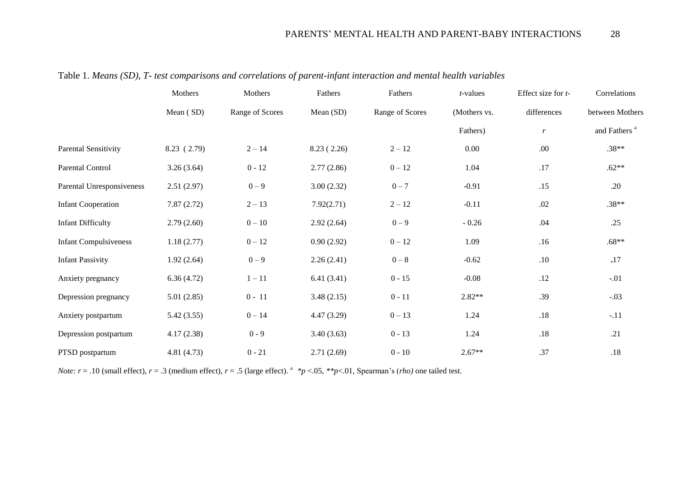|                              | Mothers     | Mothers         | Fathers    | Fathers         | <i>t</i> -values | Effect size for t- | Correlations             |  |  |
|------------------------------|-------------|-----------------|------------|-----------------|------------------|--------------------|--------------------------|--|--|
|                              | Mean (SD)   | Range of Scores | Mean (SD)  | Range of Scores | (Mothers vs.     | differences        | between Mothers          |  |  |
|                              |             |                 |            |                 | Fathers)         | $\boldsymbol{r}$   | and Fathers <sup>a</sup> |  |  |
| Parental Sensitivity         | 8.23 (2.79) | $2 - 14$        | 8.23(2.26) | $2 - 12$        | 0.00             | .00                | $.38**$                  |  |  |
| Parental Control             | 3.26(3.64)  | $0 - 12$        | 2.77(2.86) | $0 - 12$        | 1.04             | .17                | $.62**$                  |  |  |
| Parental Unresponsiveness    | 2.51(2.97)  | $0 - 9$         | 3.00(2.32) | $0 - 7$         | $-0.91$          | .15                | .20                      |  |  |
| <b>Infant Cooperation</b>    | 7.87(2.72)  | $2 - 13$        | 7.92(2.71) | $2 - 12$        | $-0.11$          | .02                | $.38**$                  |  |  |
| <b>Infant Difficulty</b>     | 2.79(2.60)  | $0 - 10$        | 2.92(2.64) | $0 - 9$         | $-0.26$          | .04                | .25                      |  |  |
| <b>Infant Compulsiveness</b> | 1.18(2.77)  | $0 - 12$        | 0.90(2.92) | $0 - 12$        | 1.09             | .16                | $.68**$                  |  |  |
| <b>Infant Passivity</b>      | 1.92(2.64)  | $0 - 9$         | 2.26(2.41) | $0-8$           | $-0.62$          | $.10$              | .17                      |  |  |
| Anxiety pregnancy            | 6.36(4.72)  | $1 - 11$        | 6.41(3.41) | $0 - 15$        | $-0.08$          | .12                | $-.01$                   |  |  |
| Depression pregnancy         | 5.01(2.85)  | $0 - 11$        | 3.48(2.15) | $0 - 11$        | $2.82**$         | .39                | $-.03$                   |  |  |
| Anxiety postpartum           | 5.42(3.55)  | $0 - 14$        | 4.47(3.29) | $0 - 13$        | 1.24             | $.18\,$            | $-.11$                   |  |  |
| Depression postpartum        | 4.17(2.38)  | $0 - 9$         | 3.40(3.63) | $0 - 13$        | 1.24             | .18                | .21                      |  |  |
| PTSD postpartum              | 4.81 (4.73) | $0 - 21$        | 2.71(2.69) | $0 - 10$        | $2.67**$         | .37                | $.18$                    |  |  |

Table 1. *Means (SD), T- test comparisons and correlations of parent-infant interaction and mental health variables*

*Note:*  $r = .10$  (small effect),  $r = .3$  (medium effect),  $r = .5$  (large effect). <sup>a</sup>  $p < .05$ ,  $*p < .01$ , Spearman's (*rho*) one tailed test.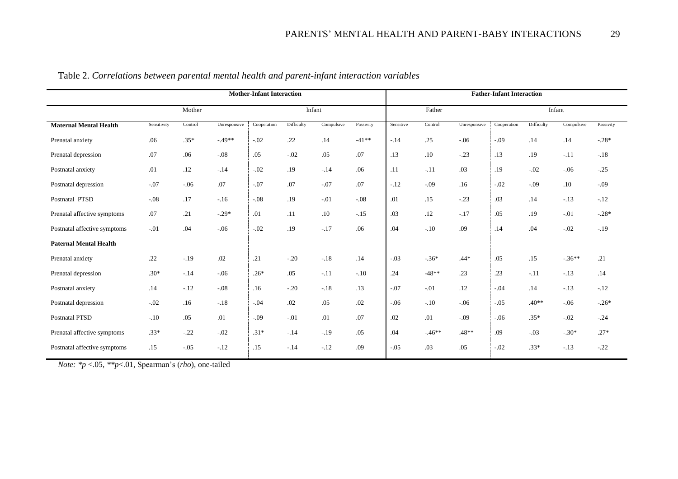|                               | <b>Mother-Infant Interaction</b> |         |              |             |            |            |           | <b>Father-Infant Interaction</b> |         |              |             |            |            |           |  |
|-------------------------------|----------------------------------|---------|--------------|-------------|------------|------------|-----------|----------------------------------|---------|--------------|-------------|------------|------------|-----------|--|
|                               |                                  | Mother  |              |             | Infant     |            |           |                                  | Father  |              |             | Infant     |            |           |  |
| <b>Maternal Mental Health</b> | Sensitivity                      | Control | Unresponsive | Cooperation | Difficulty | Compulsive | Passivity | Sensitive                        | Control | Unresponsive | Cooperation | Difficulty | Compulsive | Passivity |  |
| Prenatal anxiety              | .06                              | $.35*$  | $-49**$      | $-.02$      | .22        | .14        | $-41**$   | $-.14$                           | .25     | $-.06$       | $-.09$      | .14        | .14        | $-.28*$   |  |
| Prenatal depression           | .07                              | .06     | $-.08$       | .05         | $-.02$     | .05        | .07       | .13                              | .10     | $-.23$       | .13         | .19        | $-.11$     | $-.18$    |  |
| Postnatal anxiety             | .01                              | .12     | $-.14$       | $-.02$      | .19        | $-.14$     | .06       | .11                              | $-.11$  | .03          | .19         | $-.02$     | $-.06$     | $-.25$    |  |
| Postnatal depression          | $-.07$                           | $-0.06$ | .07          | $-.07$      | .07        | $-.07$     | .07       | $-.12$                           | $-.09$  | .16          | $-.02$      | $-.09$     | .10        | $-.09$    |  |
| Postnatal PTSD                | $-.08$                           | .17     | $-.16$       | $-.08$      | .19        | $-.01$     | $-.08$    | .01                              | .15     | $-.23$       | .03         | .14        | $-.13$     | $-.12$    |  |
| Prenatal affective symptoms   | .07                              | .21     | $-.29*$      | .01         | .11        | .10        | $-.15$    | .03                              | .12     | $-.17$       | .05         | .19        | $-.01$     | $-.28*$   |  |
| Postnatal affective symptoms  | $-.01$                           | .04     | $-.06$       | $-.02$      | .19        | $-.17$     | .06       | .04                              | $-.10$  | .09          | .14         | .04        | $-.02$     | $-.19$    |  |
| <b>Paternal Mental Health</b> |                                  |         |              |             |            |            |           |                                  |         |              |             |            |            |           |  |
| Prenatal anxiety              | .22                              | $-.19$  | .02          | .21         | $-.20$     | $-.18$     | .14       | $-.03$                           | $-.36*$ | $.44*$       | .05         | .15        | $-.36**$   | .21       |  |
| Prenatal depression           | $.30*$                           | $-.14$  | $-.06$       | $.26*$      | .05        | $-.11$     | $-.10$    | .24                              | $-48**$ | .23          | .23         | $-.11$     | $-.13$     | .14       |  |
| Postnatal anxiety             | .14                              | $-.12$  | $-.08$       | .16         | $-.20$     | $-.18$     | .13       | $-.07$                           | $-.01$  | .12          | $-.04$      | .14        | $-.13$     | $-.12$    |  |
| Postnatal depression          | $-.02$                           | .16     | $-.18$       | $-.04$      | .02        | .05        | .02       | $-.06$                           | $-.10$  | $-.06$       | $-.05$      | $.40**$    | $-.06$     | $-.26*$   |  |
| Postnatal PTSD                | $-.10$                           | .05     | .01          | $-.09$      | $-.01$     | .01        | .07       | .02                              | .01     | $-.09$       | $-.06$      | $.35*$     | $-.02$     | $-.24$    |  |
| Prenatal affective symptoms   | $.33*$                           | $-.22$  | $-.02$       | $.31*$      | $-.14$     | $-.19$     | .05       | .04                              | $-46**$ | $.48**$      | .09         | $-.03$     | $-.30*$    | $.27*$    |  |
| Postnatal affective symptoms  | .15                              | $-.05$  | $-.12$       | .15         | $-.14$     | $-.12$     | .09       | $-.05$                           | .03     | .05          | $-.02$      | $.33*$     | $-.13$     | $-.22$    |  |

Table 2. *Correlations between parental mental health and parent-infant interaction variables* 

*Note: \*p* <.05, *\*\*p*<.01, Spearman's (*rho*), one-tailed